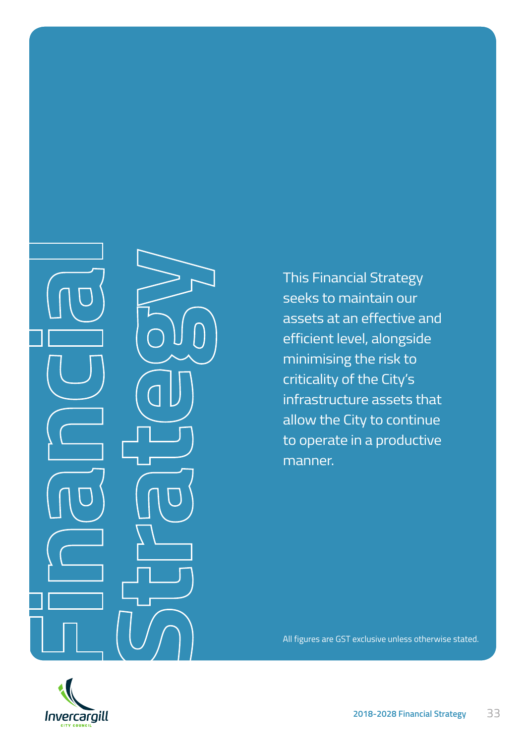This Financial Strategy seeks to maintain our assets at an effective and efficient level, alongside minimising the risk to criticality of the City's infrastructure assets that allow the City to continue to operate in a productive manner.

All figures are GST exclusive unless otherwise stated.



**Financial Strategy** 3333 **2018-2028 Financial Strategy**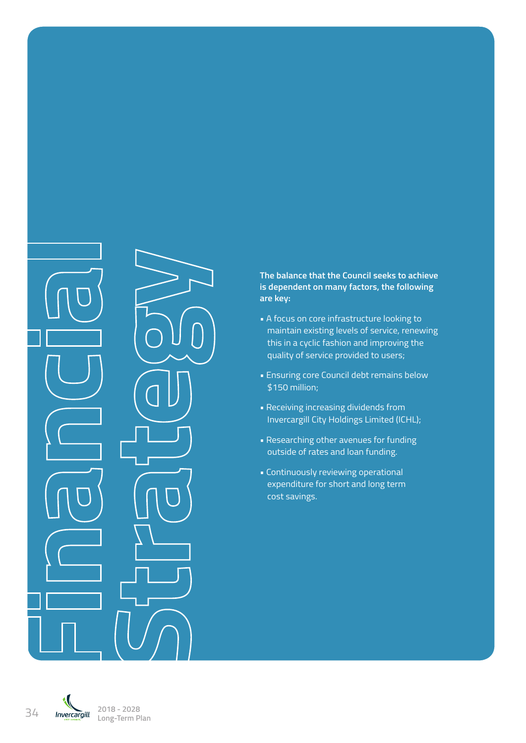

#### **The balance that the Council seeks to achieve is dependent on many factors, the following are key:**

- A focus on core infrastructure looking to maintain existing levels of service, renewing this in a cyclic fashion and improving the quality of service provided to users;
- Ensuring core Council debt remains below \$150 million;
- Receiving increasing dividends from Invercargill City Holdings Limited (ICHL);
- Researching other avenues for funding outside of rates and loan funding.
- Continuously reviewing operational expenditure for short and long term cost savings.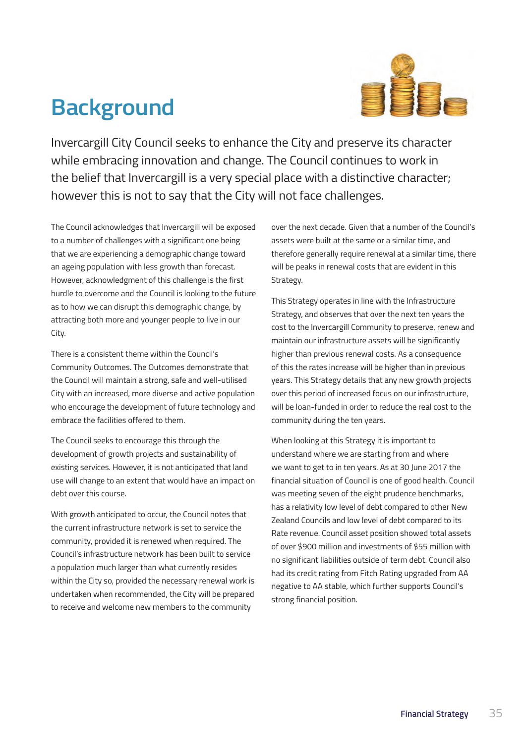# **Background**



Invercargill City Council seeks to enhance the City and preserve its character while embracing innovation and change. The Council continues to work in the belief that Invercargill is a very special place with a distinctive character; however this is not to say that the City will not face challenges.

The Council acknowledges that Invercargill will be exposed to a number of challenges with a significant one being that we are experiencing a demographic change toward an ageing population with less growth than forecast. However, acknowledgment of this challenge is the first hurdle to overcome and the Council is looking to the future as to how we can disrupt this demographic change, by attracting both more and younger people to live in our City.

There is a consistent theme within the Council's Community Outcomes. The Outcomes demonstrate that the Council will maintain a strong, safe and well-utilised City with an increased, more diverse and active population who encourage the development of future technology and embrace the facilities offered to them.

The Council seeks to encourage this through the development of growth projects and sustainability of existing services. However, it is not anticipated that land use will change to an extent that would have an impact on debt over this course.

With growth anticipated to occur, the Council notes that the current infrastructure network is set to service the community, provided it is renewed when required. The Council's infrastructure network has been built to service a population much larger than what currently resides within the City so, provided the necessary renewal work is undertaken when recommended, the City will be prepared to receive and welcome new members to the community

over the next decade. Given that a number of the Council's assets were built at the same or a similar time, and therefore generally require renewal at a similar time, there will be peaks in renewal costs that are evident in this Strategy.

This Strategy operates in line with the Infrastructure Strategy, and observes that over the next ten years the cost to the Invercargill Community to preserve, renew and maintain our infrastructure assets will be significantly higher than previous renewal costs. As a consequence of this the rates increase will be higher than in previous years. This Strategy details that any new growth projects over this period of increased focus on our infrastructure, will be loan-funded in order to reduce the real cost to the community during the ten years.

When looking at this Strategy it is important to understand where we are starting from and where we want to get to in ten years. As at 30 June 2017 the financial situation of Council is one of good health. Council was meeting seven of the eight prudence benchmarks, has a relativity low level of debt compared to other New Zealand Councils and low level of debt compared to its Rate revenue. Council asset position showed total assets of over \$900 million and investments of \$55 million with no significant liabilities outside of term debt. Council also had its credit rating from Fitch Rating upgraded from AA negative to AA stable, which further supports Council's strong financial position.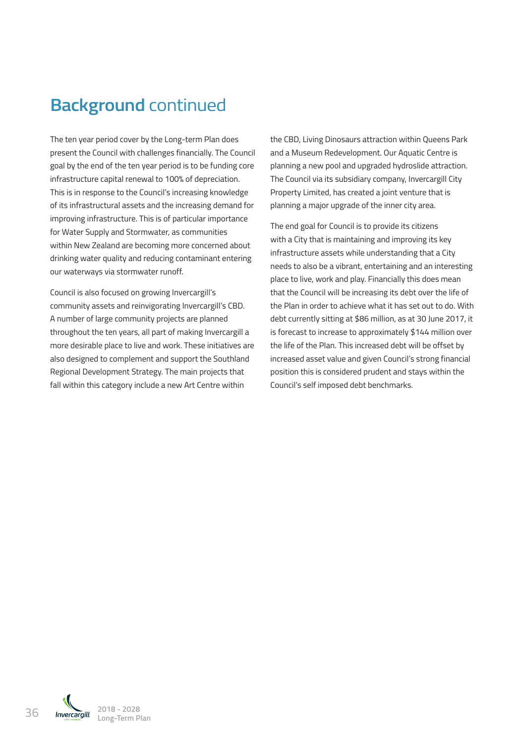# **Background** continued

The ten year period cover by the Long-term Plan does present the Council with challenges financially. The Council goal by the end of the ten year period is to be funding core infrastructure capital renewal to 100% of depreciation. This is in response to the Council's increasing knowledge of its infrastructural assets and the increasing demand for improving infrastructure. This is of particular importance for Water Supply and Stormwater, as communities within New Zealand are becoming more concerned about drinking water quality and reducing contaminant entering our waterways via stormwater runoff.

Council is also focused on growing Invercargill's community assets and reinvigorating Invercargill's CBD. A number of large community projects are planned throughout the ten years, all part of making Invercargill a more desirable place to live and work. These initiatives are also designed to complement and support the Southland Regional Development Strategy. The main projects that fall within this category include a new Art Centre within

the CBD, Living Dinosaurs attraction within Queens Park and a Museum Redevelopment. Our Aquatic Centre is planning a new pool and upgraded hydroslide attraction. The Council via its subsidiary company, Invercargill City Property Limited, has created a joint venture that is planning a major upgrade of the inner city area.

The end goal for Council is to provide its citizens with a City that is maintaining and improving its key infrastructure assets while understanding that a City needs to also be a vibrant, entertaining and an interesting place to live, work and play. Financially this does mean that the Council will be increasing its debt over the life of the Plan in order to achieve what it has set out to do. With debt currently sitting at \$86 million, as at 30 June 2017, it is forecast to increase to approximately \$144 million over the life of the Plan. This increased debt will be offset by increased asset value and given Council's strong financial position this is considered prudent and stays within the Council's self imposed debt benchmarks.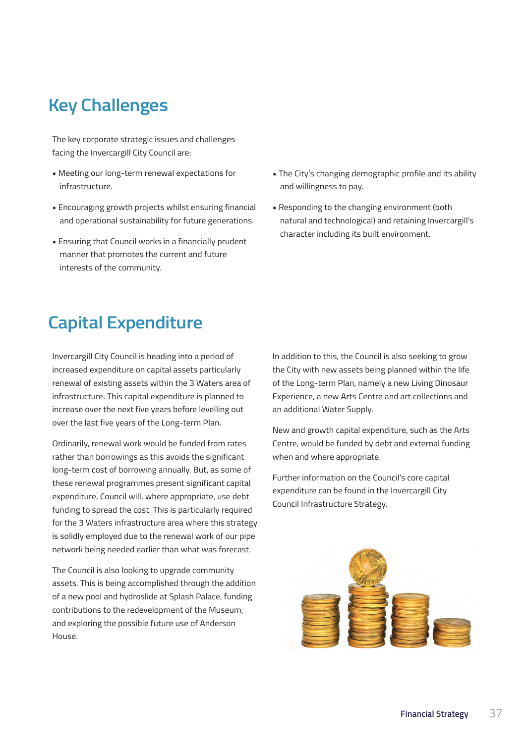# **Key Challenges**

The key corporate strategic issues and challenges facing the Invercargill City Council are:

- Meeting our long-term renewal expectations for infrastructure.
- Encouraging growth projects whilst ensuring financial and operational sustainability for future generations.
- Ensuring that Council works in a financially prudent manner that promotes the current and future interests of the community.
- The City's changing demographic profile and its ability and willingness to pay.
- Responding to the changing environment (both natural and technological) and retaining Invercargill's character including its built environment.

### **Capital Expenditure**

Invercargill City Council is heading into a period of increased expenditure on capital assets particularly renewal of existing assets within the 3 Waters area of infrastructure. This capital expenditure is planned to increase over the next five years before levelling out over the last five years of the Long-term Plan.

Ordinarily, renewal work would be funded from rates rather than borrowings as this avoids the significant long-term cost of borrowing annually. But, as some of these renewal programmes present significant capital expenditure, Council will, where appropriate, use debt funding to spread the cost. This is particularly required for the 3 Waters infrastructure area where this strategy is solidly employed due to the renewal work of our pipe network being needed earlier than what was forecast.

The Council is also looking to upgrade community assets. This is being accomplished through the addition of a new pool and hydroslide at Splash Palace, funding contributions to the redevelopment of the Museum, and exploring the possible future use of Anderson House.

In addition to this, the Council is also seeking to grow the City with new assets being planned within the life of the Long-term Plan, namely a new Living Dinosaur Experience, a new Arts Centre and art collections and an additional Water Supply.

New and growth capital expenditure, such as the Arts Centre, would be funded by debt and external funding when and where appropriate.

Further information on the Council's core capital expenditure can be found in the Invercargill City Council Infrastructure Strategy.

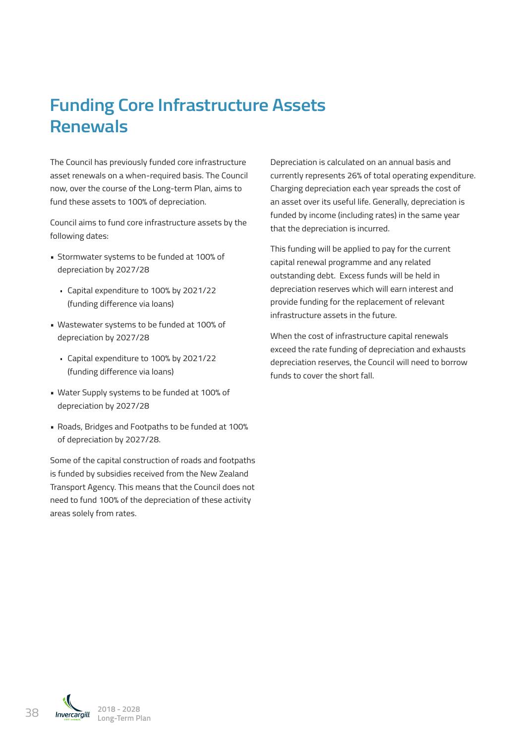# **Funding Core Infrastructure Assets Renewals**

The Council has previously funded core infrastructure asset renewals on a when-required basis. The Council now, over the course of the Long-term Plan, aims to fund these assets to 100% of depreciation.

Council aims to fund core infrastructure assets by the following dates:

- Stormwater systems to be funded at 100% of depreciation by 2027/28
	- · Capital expenditure to 100% by 2021/22 (funding difference via loans)
- Wastewater systems to be funded at 100% of depreciation by 2027/28
	- · Capital expenditure to 100% by 2021/22 (funding difference via loans)
- Water Supply systems to be funded at 100% of depreciation by 2027/28
- Roads, Bridges and Footpaths to be funded at 100% of depreciation by 2027/28.

Some of the capital construction of roads and footpaths is funded by subsidies received from the New Zealand Transport Agency. This means that the Council does not need to fund 100% of the depreciation of these activity areas solely from rates.

Depreciation is calculated on an annual basis and currently represents 26% of total operating expenditure. Charging depreciation each year spreads the cost of an asset over its useful life. Generally, depreciation is funded by income (including rates) in the same year that the depreciation is incurred.

This funding will be applied to pay for the current capital renewal programme and any related outstanding debt. Excess funds will be held in depreciation reserves which will earn interest and provide funding for the replacement of relevant infrastructure assets in the future.

When the cost of infrastructure capital renewals exceed the rate funding of depreciation and exhausts depreciation reserves, the Council will need to borrow funds to cover the short fall.

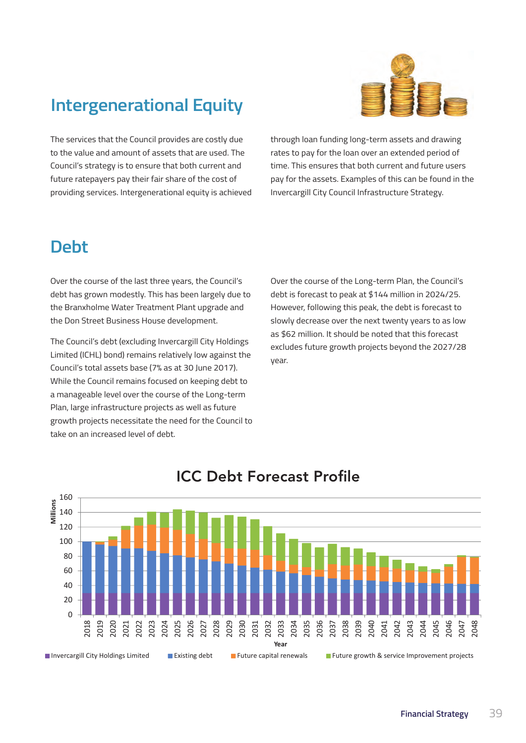# **Intergenerational Equity**



The services that the Council provides are costly due to the value and amount of assets that are used. The Council's strategy is to ensure that both current and future ratepayers pay their fair share of the cost of providing services. Intergenerational equity is achieved

through loan funding long-term assets and drawing rates to pay for the loan over an extended period of time. This ensures that both current and future users pay for the assets. Examples of this can be found in the Invercargill City Council Infrastructure Strategy.

### **Debt**

Over the course of the last three years, the Council's debt has grown modestly. This has been largely due to the Branxholme Water Treatment Plant upgrade and the Don Street Business House development.

The Council's debt (excluding Invercargill City Holdings Limited (ICHL) bond) remains relatively low against the Council's total assets base (7% as at 30 June 2017). While the Council remains focused on keeping debt to a manageable level over the course of the Long-term Plan, large infrastructure projects as well as future growth projects necessitate the need for the Council to take on an increased level of debt.

Over the course of the Long-term Plan, the Council's debt is forecast to peak at \$144 million in 2024/25. However, following this peak, the debt is forecast to slowly decrease over the next twenty years to as low as \$62 million. It should be noted that this forecast excludes future growth projects beyond the 2027/28 year.



### ICC Debt Forecast Profile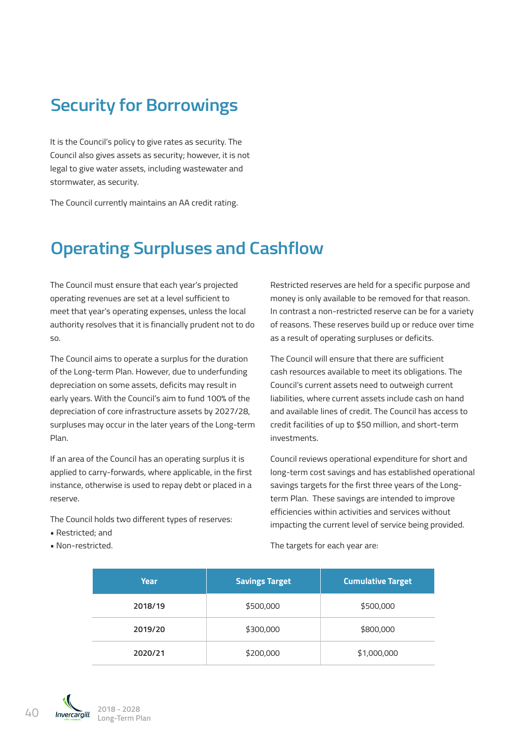### **Security for Borrowings**

It is the Council's policy to give rates as security. The Council also gives assets as security; however, it is not legal to give water assets, including wastewater and stormwater, as security.

The Council currently maintains an AA credit rating.

# **Operating Surpluses and Cashflow**

The Council must ensure that each year's projected operating revenues are set at a level sufficient to meet that year's operating expenses, unless the local authority resolves that it is financially prudent not to do so.

The Council aims to operate a surplus for the duration of the Long-term Plan. However, due to underfunding depreciation on some assets, deficits may result in early years. With the Council's aim to fund 100% of the depreciation of core infrastructure assets by 2027/28, surpluses may occur in the later years of the Long-term Plan.

If an area of the Council has an operating surplus it is applied to carry-forwards, where applicable, in the first instance, otherwise is used to repay debt or placed in a reserve.

The Council holds two different types of reserves:

- Restricted; and
- Non-restricted.

Restricted reserves are held for a specific purpose and money is only available to be removed for that reason. In contrast a non-restricted reserve can be for a variety of reasons. These reserves build up or reduce over time as a result of operating surpluses or deficits.

The Council will ensure that there are sufficient cash resources available to meet its obligations. The Council's current assets need to outweigh current liabilities, where current assets include cash on hand and available lines of credit. The Council has access to credit facilities of up to \$50 million, and short-term investments.

Council reviews operational expenditure for short and long-term cost savings and has established operational savings targets for the first three years of the Longterm Plan. These savings are intended to improve efficiencies within activities and services without impacting the current level of service being provided.

The targets for each year are:

| Year    | <b>Savings Target</b> | <b>Cumulative Target</b> |
|---------|-----------------------|--------------------------|
| 2018/19 | \$500,000             | \$500,000                |
| 2019/20 | \$300,000             | \$800,000                |
| 2020/21 | \$200,000             | \$1,000,000              |

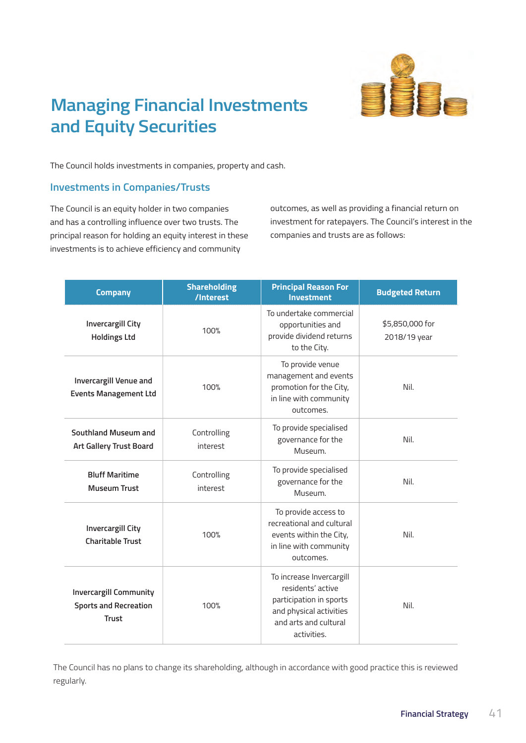

# **Managing Financial Investments and Equity Securities**

The Council holds investments in companies, property and cash.

### **Investments in Companies/Trusts**

The Council is an equity holder in two companies and has a controlling influence over two trusts. The principal reason for holding an equity interest in these investments is to achieve efficiency and community

outcomes, as well as providing a financial return on investment for ratepayers. The Council's interest in the companies and trusts are as follows:

| <b>Company</b>                                                                | <b>Shareholding</b><br>/Interest | <b>Principal Reason For</b><br><b>Investment</b>                                                                                            | <b>Budgeted Return</b>          |
|-------------------------------------------------------------------------------|----------------------------------|---------------------------------------------------------------------------------------------------------------------------------------------|---------------------------------|
| <b>Invercargill City</b><br><b>Holdings Ltd</b>                               | 100%                             | To undertake commercial<br>opportunities and<br>provide dividend returns<br>to the City.                                                    | \$5,850,000 for<br>2018/19 year |
| Invercargill Venue and<br><b>Events Management Ltd</b>                        | 100%                             | To provide venue<br>management and events<br>promotion for the City,<br>in line with community<br>outcomes.                                 | Nil.                            |
| Southland Museum and<br><b>Art Gallery Trust Board</b>                        | Controlling<br>interest          | To provide specialised<br>governance for the<br>Museum.                                                                                     | Nil.                            |
| <b>Bluff Maritime</b><br><b>Museum Trust</b>                                  | Controlling<br>interest          | To provide specialised<br>governance for the<br>Museum.                                                                                     | Nil.                            |
| <b>Invercargill City</b><br><b>Charitable Trust</b>                           | 100%                             | To provide access to<br>recreational and cultural<br>events within the City,<br>in line with community<br>outcomes.                         | Nil.                            |
| <b>Invercargill Community</b><br><b>Sports and Recreation</b><br><b>Trust</b> | 100%                             | To increase Invercargill<br>residents' active<br>participation in sports<br>and physical activities<br>and arts and cultural<br>activities. | Nil.                            |

The Council has no plans to change its shareholding, although in accordance with good practice this is reviewed regularly.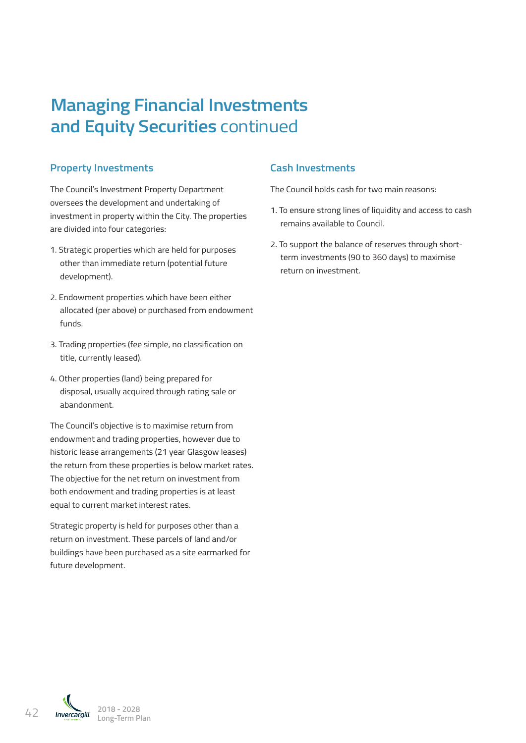# **Managing Financial Investments and Equity Securities** continued

### **Property Investments**

The Council's Investment Property Department oversees the development and undertaking of investment in property within the City. The properties are divided into four categories:

- 1. Strategic properties which are held for purposes other than immediate return (potential future development).
- 2. Endowment properties which have been either allocated (per above) or purchased from endowment funds.
- 3. Trading properties (fee simple, no classification on title, currently leased).
- 4. Other properties (land) being prepared for disposal, usually acquired through rating sale or abandonment.

The Council's objective is to maximise return from endowment and trading properties, however due to historic lease arrangements (21 year Glasgow leases) the return from these properties is below market rates. The objective for the net return on investment from both endowment and trading properties is at least equal to current market interest rates.

Strategic property is held for purposes other than a return on investment. These parcels of land and/or buildings have been purchased as a site earmarked for future development.

### **Cash Investments**

The Council holds cash for two main reasons:

- 1. To ensure strong lines of liquidity and access to cash remains available to Council.
- 2. To support the balance of reserves through shortterm investments (90 to 360 days) to maximise return on investment.

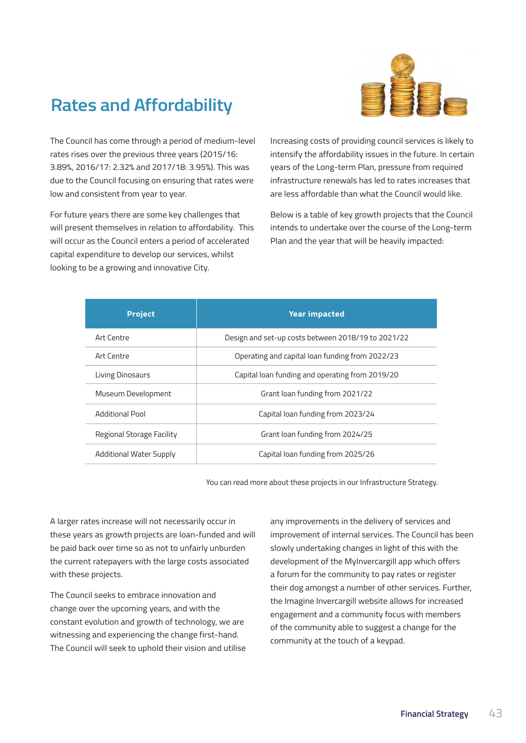

# **Rates and Affordability**

The Council has come through a period of medium-level rates rises over the previous three years (2015/16: 3.89%, 2016/17: 2.32% and 2017/18: 3.95%). This was due to the Council focusing on ensuring that rates were low and consistent from year to year.

For future years there are some key challenges that will present themselves in relation to affordability. This will occur as the Council enters a period of accelerated capital expenditure to develop our services, whilst looking to be a growing and innovative City.

Increasing costs of providing council services is likely to intensify the affordability issues in the future. In certain years of the Long-term Plan, pressure from required infrastructure renewals has led to rates increases that are less affordable than what the Council would like.

Below is a table of key growth projects that the Council intends to undertake over the course of the Long-term Plan and the year that will be heavily impacted:

| <b>Project</b>            | <b>Year impacted</b>                               |
|---------------------------|----------------------------------------------------|
| Art Centre                | Design and set-up costs between 2018/19 to 2021/22 |
| Art Centre                | Operating and capital loan funding from 2022/23    |
| <b>Living Dinosaurs</b>   | Capital loan funding and operating from 2019/20    |
| Museum Development        | Grant loan funding from 2021/22                    |
| <b>Additional Pool</b>    | Capital loan funding from 2023/24                  |
| Regional Storage Facility | Grant loan funding from 2024/25                    |
| Additional Water Supply   | Capital loan funding from 2025/26                  |

You can read more about these projects in our Infrastructure Strategy.

A larger rates increase will not necessarily occur in these years as growth projects are loan-funded and will be paid back over time so as not to unfairly unburden the current ratepayers with the large costs associated with these projects.

The Council seeks to embrace innovation and change over the upcoming years, and with the constant evolution and growth of technology, we are witnessing and experiencing the change first-hand. The Council will seek to uphold their vision and utilise any improvements in the delivery of services and improvement of internal services. The Council has been slowly undertaking changes in light of this with the development of the MyInvercargill app which offers a forum for the community to pay rates or register their dog amongst a number of other services. Further, the Imagine Invercargill website allows for increased engagement and a community focus with members of the community able to suggest a change for the community at the touch of a keypad.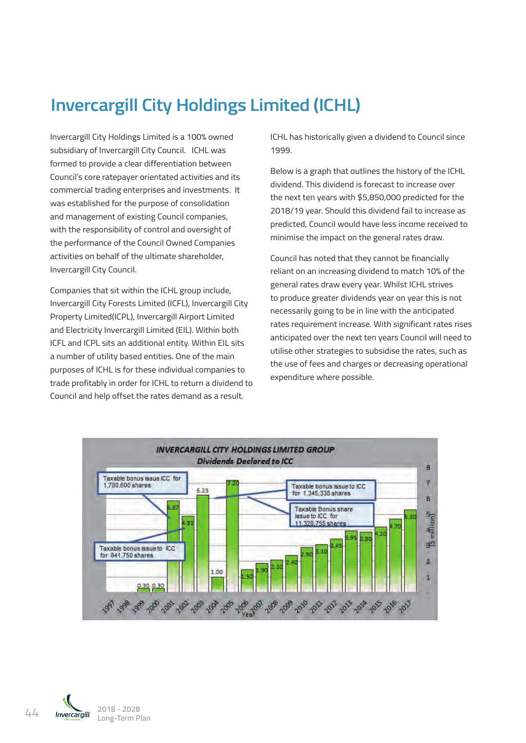# **Invercargill City Holdings Limited (ICHL)**

Invercargill City Holdings Limited is a 100% owned subsidiary of Invercargill City Council. ICHL was inverte to provide a clear differentiation between the council city Holdings Limited is a 100% of Inverse Limited is a 100% of Inverse Limited is a 100% of Inverse Limited is a 100% of Inverse Limited is a 100% of Inverse was established for the purpose of consolidation and management of existing Council companies, with the responsibility of control and oversight of the performance of the Council Owned Companies activities on behalf of the ultimate shareholder, Invercargill City Council.

Companies that sit within the ICHL group include, the produce greater dividends vear on vear this is not Invercargill City Forests Limited (ICFL), Invercargill City Property Limited(ICPL), Invercargill Airport Limited Property Eimted(ICPE), invercargill Airport Eimited<br>and Electricity Invercargill Limited (EIL). Within both rates requirement incr ICFL and ICPL sits an additional entity. Within EIL sits an additional entity within EIL sits the distribution a number of utility based entities. One of the main purposes of ICHL is for these individual companies to a graph that once and that ges of decreasing operational<br>expenditure where possible. trade profitably in order for ICHL to return a dividend to in ade profitably in order for form. To return a dividend to<br>Council and help offset the rates demand as a result. invercargiil City Forests Limited (ICFL), invercargiil City<br>In order starting to be in line with the anticipated and the metal companies to the individual companies to be dividend fail to increase as predicted, Council would have less income received to minimise the minimise of minimises in the council would have less income received to minimise the council would have less income received t

ICHL has historically given a dividend to Council since 1999.

Below is a graph that outlines the history of the ICHL between Council's core ratepayer orientated activities and its commercial trading enterprises and investments. It was alwaelia. This dividend is forecast to increase over Below is a graph that outlines the history of the ICHL dividend. This dividend is forecast to increase over the next ten years with \$5,850,000 predicted for the was established for the purpose of consolidation and management of year-than 1990 of premises to the purpose of consolidation and management of existing Council connection and and the 2018/19 year. Should this dividend fai and management or existing Council companies,<br>with the responsibility of control and oversight of the predicted, Council would have less income received to with the responsibility of control and oversignt of activities on the general rates draw.

activities on behalf of the ultimate shareholder, and the Council has noted that they cannot be financially and the Inverse Limited, Indian shareholder, and the Inverse Limited, Indian shareholder, and the Inverse Limited, Invercargill City Council. The contraction of the contraction and increasing dividend to match 10% of the contra<br>Invercargill City Council. general rates draw every year. Whilst ICHL strives to produce greater dividends year on year this is not rates requirement increase. With significant rates rises anticipated over the next ten years Council will need to utilise other strategies to subsidise the rates, such as the use of fees and charges or decreasing operational expenditure where possible.



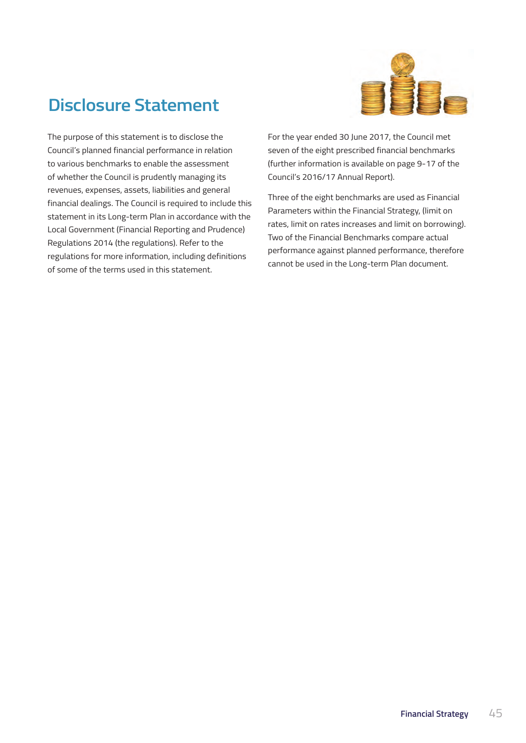

# **Disclosure Statement**

The purpose of this statement is to disclose the Council's planned financial performance in relation to various benchmarks to enable the assessment of whether the Council is prudently managing its revenues, expenses, assets, liabilities and general financial dealings. The Council is required to include this statement in its Long-term Plan in accordance with the Local Government (Financial Reporting and Prudence) Regulations 2014 (the regulations). Refer to the regulations for more information, including definitions of some of the terms used in this statement.

For the year ended 30 June 2017, the Council met seven of the eight prescribed financial benchmarks (further information is available on page 9-17 of the Council's 2016/17 Annual Report).

Three of the eight benchmarks are used as Financial Parameters within the Financial Strategy, (limit on rates, limit on rates increases and limit on borrowing). Two of the Financial Benchmarks compare actual performance against planned performance, therefore cannot be used in the Long-term Plan document.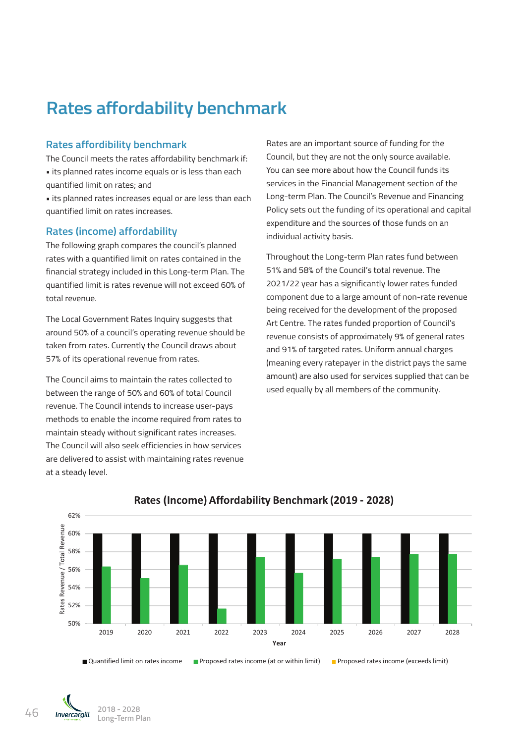# **Rates affordability benchmark**

#### **Rates affordibility benchmark**

The Council meets the rates affordability benchmark if: • its planned rates income equals or is less than each quantified limit on rates; and

• its planned rates increases equal or are less than each quantified limit on rates increases.

#### **Rates (income) affordability**

The following graph compares the council's planned rates with a quantified limit on rates contained in the financial strategy included in this Long-term Plan. The quantified limit is rates revenue will not exceed 60% of total revenue.

The Local Government Rates Inquiry suggests that around 50% of a council's operating revenue should be taken from rates. Currently the Council draws about 57% of its operational revenue from rates.

The Council aims to maintain the rates collected to between the range of 50% and 60% of total Council revenue. The Council intends to increase user-pays methods to enable the income required from rates to maintain steady without significant rates increases. The Council will also seek efficiencies in how services are delivered to assist with maintaining rates revenue at a steady level.

Rates are an important source of funding for the Council, but they are not the only source available. You can see more about how the Council funds its services in the Financial Management section of the Long-term Plan. The Council's Revenue and Financing Policy sets out the funding of its operational and capital expenditure and the sources of those funds on an individual activity basis.

Throughout the Long-term Plan rates fund between 51% and 58% of the Council's total revenue. The 2021/22 year has a significantly lower rates funded component due to a large amount of non-rate revenue being received for the development of the proposed Art Centre. The rates funded proportion of Council's revenue consists of approximately 9% of general rates and 91% of targeted rates. Uniform annual charges (meaning every ratepayer in the district pays the same amount) are also used for services supplied that can be used equally by all members of the community.



#### **Rates (Income) Affordability Benchmark (2019 ‐ 2028)**

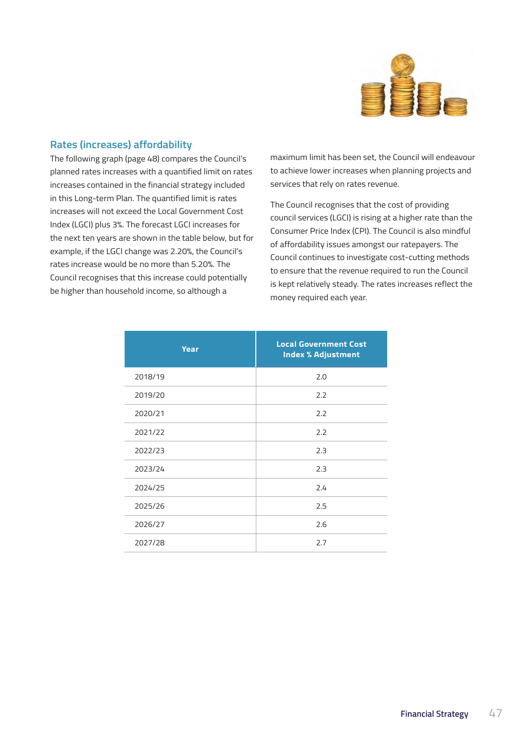

#### **Rates (increases) affordability**

The following graph (page 48) compares the Council's planned rates increases with a quantified limit on rates increases contained in the financial strategy included in this Long-term Plan. The quantified limit is rates increases will not exceed the Local Government Cost Index (LGCI) plus 3%. The forecast LGCI increases for the next ten years are shown in the table below, but for example, if the LGCI change was 2.20%, the Council's rates increase would be no more than 5.20%. The Council recognises that this increase could potentially be higher than household income, so although a

maximum limit has been set, the Council will endeavour to achieve lower increases when planning projects and services that rely on rates revenue.

The Council recognises that the cost of providing council services (LGCI) is rising at a higher rate than the Consumer Price Index (CPI). The Council is also mindful of affordability issues amongst our ratepayers. The Council continues to investigate cost-cutting methods to ensure that the revenue required to run the Council is kept relatively steady. The rates increases reflect the money required each year.

| <b>Year</b> | <b>Local Government Cost</b><br><b>Index % Adjustment</b> |
|-------------|-----------------------------------------------------------|
| 2018/19     | 2.0                                                       |
| 2019/20     | 2.2                                                       |
| 2020/21     | 2.2                                                       |
| 2021/22     | 2.2                                                       |
| 2022/23     | 2.3                                                       |
| 2023/24     | 2.3                                                       |
| 2024/25     | 2.4                                                       |
| 2025/26     | 2.5                                                       |
| 2026/27     | 2.6                                                       |
| 2027/28     | 2.7                                                       |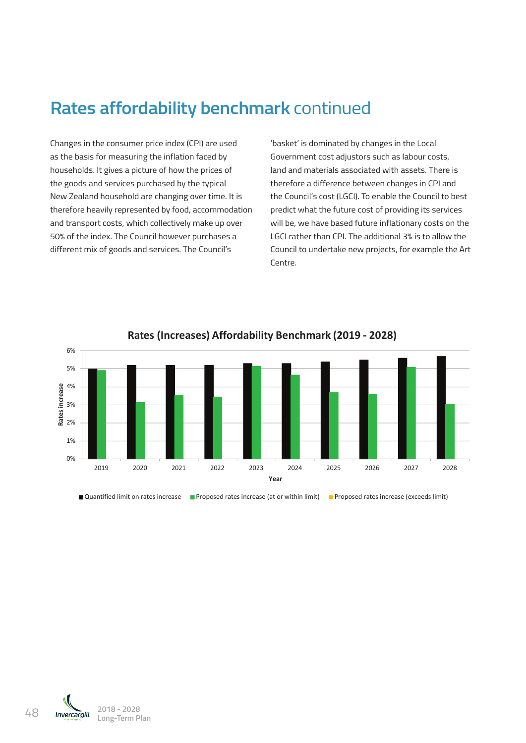# **Rates affordability benchmark** continued

Changes in the consumer price index (CPI) are used as the basis for measuring the inflation faced by households. It gives a picture of how the prices of 62% the goods and services purchased by the typical New Zealand household are changing over time. It is 58% therefore heavily represented by food, accommodation and transport costs, which collectively make up over 50% of the index. The Council however purchases a different mix of goods and services. The Council's e<br>er<br>d<br>i%<br>ife

'basket' is dominated by changes in the Local rer price maex (crimare asea and a basket is dominated by changes in the Local line of the local line of the lo<br>**Rate of the inflation faced by a covernment** cost adjustors such as labour costs, land and materials associated with assets. There is therefore a difference between changes in CPI and the Council's cost (LGCI). To enable the Council to best predict what the future cost of providing its services will be, we have based future inflationary costs on the LGCI rather than CPI. The additional 3% is to allow the Council to undertake new projects, for example the Art Centre.



**Rates (Increases) Affordability Benchmark (2019 ‐ 2028)**

■ Quantified limit on rates increase ■ Proposed rates increase (at or within limit) ■ Proposed rates increase (exceeds limit)

48 **2018 - 2028 Long-Term Plan**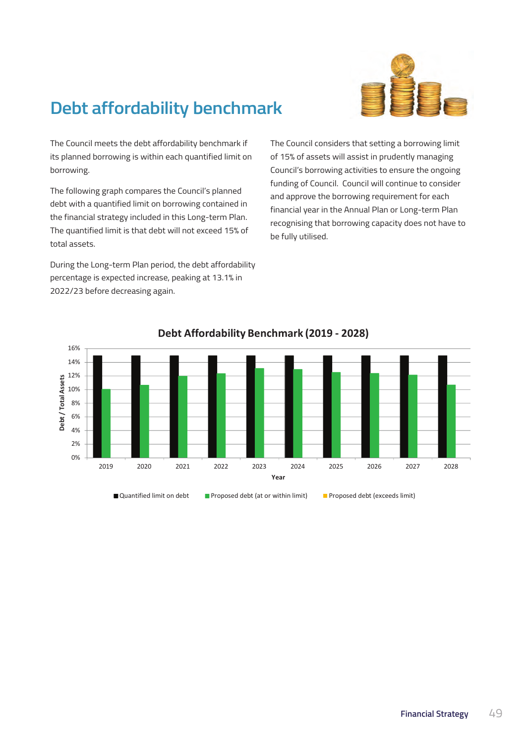

# **Debt affordability benchmark**

The Council meets the debt affordability benchmark if its planned borrowing is within each quantified limit on borrowing.

The following graph compares the Council's planned debt with a quantified limit on borrowing contained in the financial strategy included in this Long-term Plan. The quantified limit is that debt will not exceed 15% of total assets. b<br>e<br>ie

During the Long-term Plan period, the debt affordability percentage is expected increase, peaking at 13.1% in  $\,$ 2022/23 before decreasing again.

e debt affordability benchmark if **Rate The Council considers that setting** a borrowing limit of 15% of assets will assist in prudently managing Council's borrowing activities to ensure the ongoing funding of Council. Council will continue to consider and approve the borrowing requirement for each financial year in the Annual Plan or Long-term Plan recognising that borrowing capacity does not have to be fully utilised.



### **Debt Affordability Benchmark (2019 ‐ 2028)**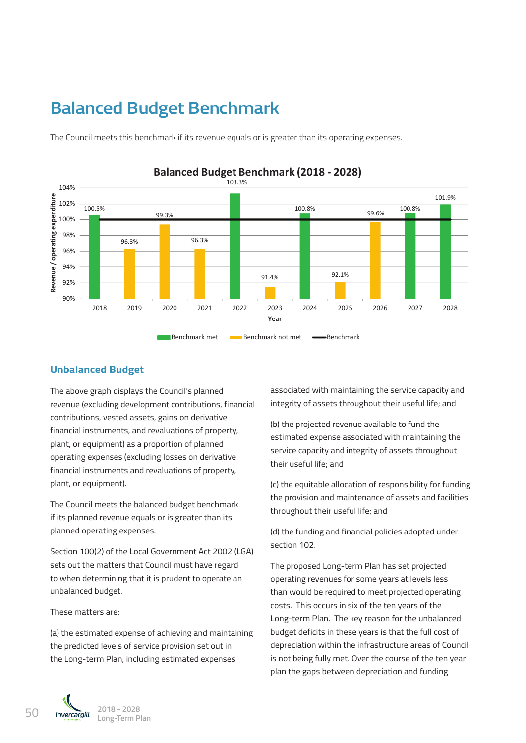# **Balanced Budget Benchmark**

The Council meets this benchmark if its revenue equals or is greater than its operating expenses.



### **Balanced Budget Benchmark (2018 ‐ 2028)**

#### **Unbalanced Budget**

The above graph displays the Council's planned revenue (excluding development contributions, financial contributions, vested assets, gains on derivative financial instruments, and revaluations of property,  $\overline{\phantom{a}}^{3}$ plant, or equipment) as a proportion of planned operating expenses (excluding losses on derivative financial instruments and revaluations of property, plant, or equipment).  $\sim$  $r - t$ The complete file<br>of file<br>file<br>pl

The Council meets the balanced budget benchmark if its planned revenue equals or is greater than its planned operating expenses.

Section 100(2) of the Local Government Act 2002 (LGA) section 100(2) or the Eocal Government Act 2002 (EGA)<br>sets out the matters that Council must have regard The proposed Long-ter to when determining that it is prudent to operate an unbalanced budget.

#### These matters are:

(a) the estimated expense of achieving and maintaining the predicted levels of service provision set out in the Long-term Plan, including estimated expenses **borrowing contact**<br>that

associated with maintaining the service capacity and integrity of assets throughout their useful life; and

(b) the projected revenue available to fund the estimated expense associated with maintaining the service capacity and integrity of assets throughout their useful life; and

(c) the equitable allocation of responsibility for funding the provision and maintenance of assets and facilities throughout their useful life; and

> (d) the funding and financial policies adopted under section 102.

> > The proposed Long-term Plan has set projected operating revenues for some years at levels less than would be required to meet projected operating costs. This occurs in six of the ten years of the Long-term Plan. The key reason for the unbalanced budget deficits in these years is that the full cost of depreciation within the infrastructure areas of Council is not being fully met. Over the course of the ten year plan the gaps between depreciation and funding

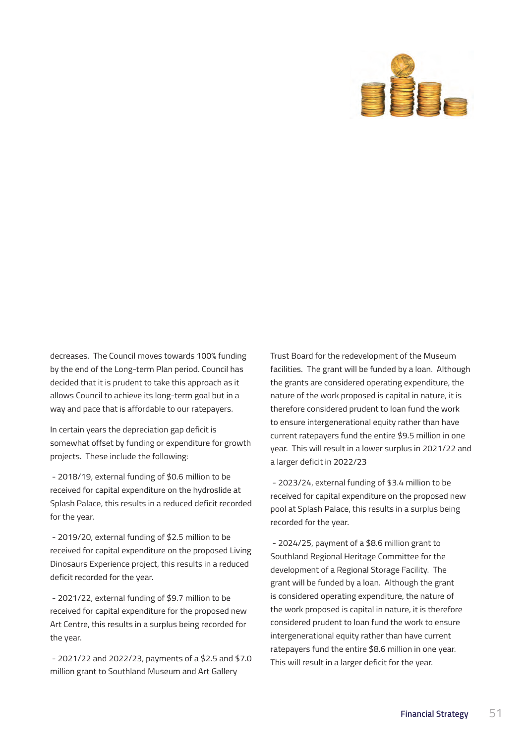

decreases. The Council moves towards 100% funding by the end of the Long-term Plan period. Council has decided that it is prudent to take this approach as it allows Council to achieve its long-term goal but in a way and pace that is affordable to our ratepayers.

In certain years the depreciation gap deficit is somewhat offset by funding or expenditure for growth projects. These include the following:

 - 2018/19, external funding of \$0.6 million to be received for capital expenditure on the hydroslide at Splash Palace, this results in a reduced deficit recorded for the year.

 - 2019/20, external funding of \$2.5 million to be received for capital expenditure on the proposed Living Dinosaurs Experience project, this results in a reduced deficit recorded for the year.

 - 2021/22, external funding of \$9.7 million to be received for capital expenditure for the proposed new Art Centre, this results in a surplus being recorded for the year.

 - 2021/22 and 2022/23, payments of a \$2.5 and \$7.0 million grant to Southland Museum and Art Gallery

Trust Board for the redevelopment of the Museum facilities. The grant will be funded by a loan. Although the grants are considered operating expenditure, the nature of the work proposed is capital in nature, it is therefore considered prudent to loan fund the work to ensure intergenerational equity rather than have current ratepayers fund the entire \$9.5 million in one year. This will result in a lower surplus in 2021/22 and a larger deficit in 2022/23

 - 2023/24, external funding of \$3.4 million to be received for capital expenditure on the proposed new pool at Splash Palace, this results in a surplus being recorded for the year.

 - 2024/25, payment of a \$8.6 million grant to Southland Regional Heritage Committee for the development of a Regional Storage Facility. The grant will be funded by a loan. Although the grant is considered operating expenditure, the nature of the work proposed is capital in nature, it is therefore considered prudent to loan fund the work to ensure intergenerational equity rather than have current ratepayers fund the entire \$8.6 million in one year. This will result in a larger deficit for the year.